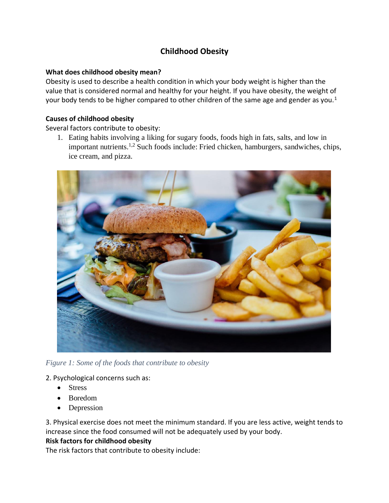# **Childhood Obesity**

### **What does childhood obesity mean?**

Obesity is used to describe a health condition in which your body weight is higher than the value that is considered normal and healthy for your height. If you have obesity, the weight of your body tends to be higher compared to other children of the same age and gender as you.<sup>1</sup>

## **Causes of childhood obesity**

Several factors contribute to obesity:

1. Eating habits involving a liking for sugary foods, foods high in fats, salts, and low in important nutrients.1,2 Such foods include: Fried chicken, hamburgers, sandwiches, chips, ice cream, and pizza.



*Figure 1: Some of the foods that contribute to obesity*

### 2. Psychological concerns such as:

- Stress
- Boredom
- Depression

3. Physical exercise does not meet the minimum standard. If you are less active, weight tends to increase since the food consumed will not be adequately used by your body.

### **Risk factors for childhood obesity**

The risk factors that contribute to obesity include: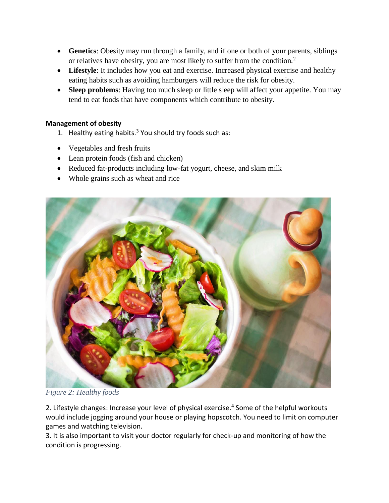- **Genetics**: Obesity may run through a family, and if one or both of your parents, siblings or relatives have obesity, you are most likely to suffer from the condition.<sup>2</sup>
- Lifestyle: It includes how you eat and exercise. Increased physical exercise and healthy eating habits such as avoiding hamburgers will reduce the risk for obesity.
- **Sleep problems**: Having too much sleep or little sleep will affect your appetite. You may tend to eat foods that have components which contribute to obesity.

## **Management of obesity**

- 1. Healthy eating habits.<sup>3</sup> You should try foods such as:
- Vegetables and fresh fruits
- Lean protein foods (fish and chicken)
- Reduced fat-products including low-fat yogurt, cheese, and skim milk
- Whole grains such as wheat and rice



*Figure 2: Healthy foods*

2. Lifestyle changes: Increase your level of physical exercise.<sup>4</sup> Some of the helpful workouts would include jogging around your house or playing hopscotch. You need to limit on computer games and watching television.

3. It is also important to visit your doctor regularly for check-up and monitoring of how the condition is progressing.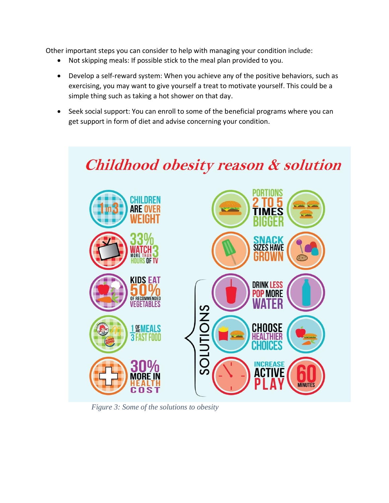Other important steps you can consider to help with managing your condition include:

- Not skipping meals: If possible stick to the meal plan provided to you.
- Develop a self-reward system: When you achieve any of the positive behaviors, such as exercising, you may want to give yourself a treat to motivate yourself. This could be a simple thing such as taking a hot shower on that day.
- Seek social support: You can enroll to some of the beneficial programs where you can get support in form of diet and advise concerning your condition.



*Figure 3: Some of the solutions to obesity*